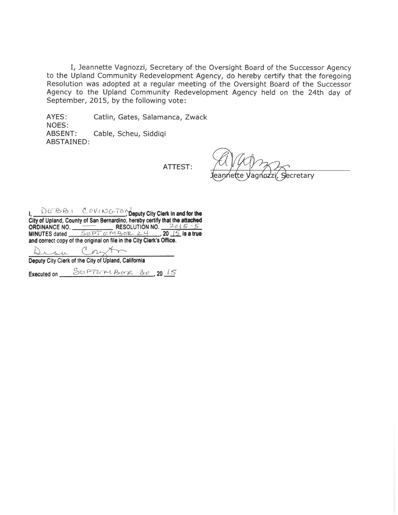I, Jeannette Vagnozzi, Secretary of the Oversight Board of the Successor Agency to the Upland Community Redevelopment Agency, do hereby certify that the foregoing Resolution was adopted at a regular meeting of the Oversight Board of the Successor Agency to the Upland Community Redevelopment Agency held on the 24th day of September, 2015, by the following vote:

AYES: Catlin, Gates, Salamanca, Zwack NOES: **ABSENT:** Cable, Scheu, Siddigi ABSTAINED:

ATTEST:

ecretary

and correct copy of the original on file in the City Clerk's Office.

Deputy City Clerk of the City of Upland, California

Executed on SUPTUMBUR 30, 2015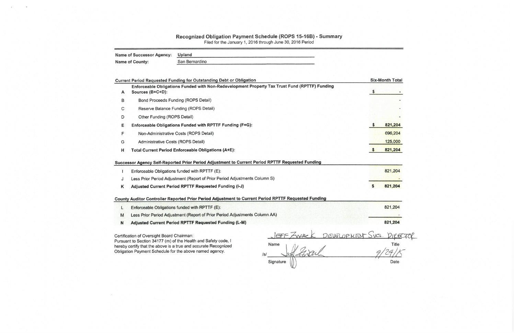## Recognized Obligation Payment Schedule (ROPS 15-16B) - Summary

Filed for the January 1, 2016 through June 30, 2016 Period

| <b>Name of Successor Agency:</b> | Upland         |
|----------------------------------|----------------|
| <b>Name of County:</b>           | San Bernardino |

|   | <b>Current Period Requested Funding for Outstanding Debt or Obligation</b>                                        |          | <b>Six-Month Total</b> |
|---|-------------------------------------------------------------------------------------------------------------------|----------|------------------------|
| A | Enforceable Obligations Funded with Non-Redevelopment Property Tax Trust Fund (RPTTF) Funding<br>Sources (B+C+D): |          |                        |
| В | Bond Proceeds Funding (ROPS Detail)                                                                               |          |                        |
| C | Reserve Balance Funding (ROPS Detail)                                                                             |          |                        |
| D | Other Funding (ROPS Detail)                                                                                       |          |                        |
| Е | Enforceable Obligations Funded with RPTTF Funding (F+G):                                                          |          | 821,204                |
| F | Non-Administrative Costs (ROPS Detail)                                                                            |          | 696,204                |
| G | Administrative Costs (ROPS Detail)                                                                                |          | 125,000                |
| н | Total Current Period Enforceable Obligations (A+E):                                                               | <b>S</b> | 821,204                |
|   | Successor Agency Self-Reported Prior Period Adjustment to Current Period RPTTF Requested Funding                  |          |                        |
|   | Enforceable Obligations funded with RPTTF (E):                                                                    |          | 821,204                |
| J | Less Prior Period Adjustment (Report of Prior Period Adjustments Column S)                                        |          |                        |
| Κ | Adjusted Current Period RPTTF Requested Funding (I-J)                                                             |          | 821,204                |
|   |                                                                                                                   |          |                        |

County Auditor Controller Reported Prior Period Adjustment to Current Period RPTTF Requested Funding

- L Enforceable Obligations funded with RPTTF (E):
- Less Prior Period Adjustment (Report of Prior Period Adjustments Column AA)  $M$
- Adjusted Current Period RPTTF Requested Funding (L-M) N

Certification of Oversight Board Chairman:

Pursuant to Section 34177 (m) of the Health and Safety code, I hereby certify that the above is a true and accurate Recognized Obligation Payment Schedule for the above named agency.

 $S<sub>vcs</sub>$ . DIRECTOR DEVELOPMENT Name Title  $|s|$ Date Signature

821,204

821,204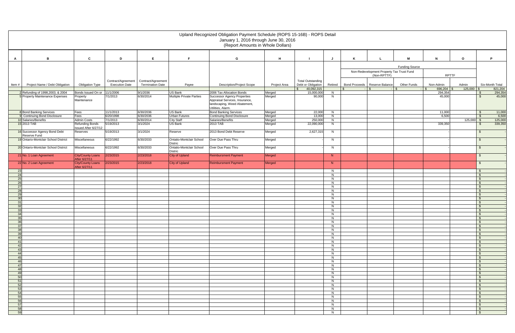|          | Upland Recognized Obligation Payment Schedule (ROPS 15-16B) - ROPS Detail<br>January 1, 2016 through June 30, 2016<br>(Report Amounts in Whole Dollars) |                                                |                       |                         |                                                   |                                                   |                  |                                            |         |  |                                           |                       |                                 |              |                                             |
|----------|---------------------------------------------------------------------------------------------------------------------------------------------------------|------------------------------------------------|-----------------------|-------------------------|---------------------------------------------------|---------------------------------------------------|------------------|--------------------------------------------|---------|--|-------------------------------------------|-----------------------|---------------------------------|--------------|---------------------------------------------|
| A        | В                                                                                                                                                       | $\mathbf c$                                    | D                     | E                       | E                                                 | G                                                 | H                |                                            |         |  |                                           | M                     | $\mathbf N$                     | $\mathbf{o}$ | P                                           |
|          |                                                                                                                                                         |                                                |                       |                         |                                                   |                                                   |                  |                                            |         |  |                                           |                       |                                 |              |                                             |
|          |                                                                                                                                                         |                                                |                       |                         |                                                   |                                                   |                  |                                            |         |  | Non-Redevelopment Property Tax Trust Fund | <b>Funding Source</b> |                                 |              |                                             |
|          |                                                                                                                                                         |                                                |                       |                         |                                                   |                                                   |                  |                                            |         |  | (Non-RPTTF)                               |                       | <b>RPTTF</b>                    |              |                                             |
|          |                                                                                                                                                         |                                                | Contract/Agreement    | Contract/Agreement      |                                                   |                                                   |                  | <b>Total Outstanding</b>                   |         |  |                                           |                       |                                 |              |                                             |
| ltem #   | Project Name / Debt Obligation                                                                                                                          | <b>Obligation Type</b>                         | <b>Execution Date</b> | <b>Termination Date</b> | Payee                                             | <b>Description/Project Scope</b>                  | Project Area     | Debt or Obligation                         | Retired |  | Bond Proceeds   Reserve Balance           | <b>Other Funds</b>    | Non-Admin                       | Admin        | Six-Month Total                             |
|          |                                                                                                                                                         | Bonds Issued On or                             | 11/1/2006             | 9/1/2036                | <b>US Bank</b>                                    | 2006 Tax Allocation Bonds                         |                  | $\mathfrak{S}$<br>40,092,315<br>15,000,000 | N       |  | \$.<br>$-1$ \$                            |                       | $696,204$ \$<br>l \$<br>294,354 | $125,000$ \$ | 821,204                                     |
|          | 2 Refunding of 1998, 2003, & 2004<br>5 Property Maintenance Expenses                                                                                    | Property                                       | 7/1/2013              | 6/30/2014               | <b>Multiple Private Parties</b>                   | <b>Successor Agency Properties</b>                | Merged<br>Merged | 90,000                                     | N       |  |                                           |                       | 45,000                          |              | 294,354<br>- \$<br>45,000<br>$\mathfrak{F}$ |
|          |                                                                                                                                                         | Maintenance                                    |                       |                         |                                                   | Appraisal Services, Insurance,                    |                  |                                            |         |  |                                           |                       |                                 |              |                                             |
|          |                                                                                                                                                         |                                                |                       |                         |                                                   | landscaping, Weed Abatement,<br>Utilities, Alarm. |                  |                                            |         |  |                                           |                       |                                 |              |                                             |
|          | 8 Bond Banking Services                                                                                                                                 | Fees                                           | 11/1/2013             | 6/30/2036               | US Bank                                           | <b>Bond Banking Services</b>                      | Merged           | 22,000                                     | N       |  |                                           |                       | 11,000                          |              | 11,000<br>\$                                |
|          | 9 Continuing Bond Disclosure                                                                                                                            | Fees                                           | 6/20/1998             | 6/30/2036               | <b>Urban Futures</b>                              | <b>Continuing Bond Disclosure</b>                 | Merged           | 13,000                                     | N       |  |                                           |                       | 6,500                           |              | 6,500<br>\$                                 |
|          | 10 Salaries/Benefits                                                                                                                                    | <b>Admin Costs</b>                             | 7/1/2013              | 6/30/2014               | City Staff                                        | Salaries/Benefits                                 | Merged           | 250,000                                    | N       |  |                                           |                       |                                 | $125,000$ \$ | 125,000                                     |
|          | 15 2013 TAB                                                                                                                                             | <b>Refunding Bonds</b><br>Issued After 6/27/12 | 5/19/2013             | 3/1/2024                | <b>US Bank</b>                                    | 2013 TAB                                          | Merged           | 22,090,000                                 | N       |  |                                           |                       | 339,350                         |              | 339,350<br>$\mathfrak{S}$                   |
|          | 16 Successor Agency Bond Debt<br>Reserve Fund                                                                                                           | Reserves                                       | 5/19/2013             | 3/1/2024                | Reserve                                           | 2013 Bond Debt Reserve                            | Merged           | 2,627,315                                  | N       |  |                                           |                       |                                 |              | $\mathbf{\$}$                               |
|          | 19 Ontario-Montclair School District                                                                                                                    | Miscellaneous                                  | 6/22/1992             | 6/30/2033               | <b>Ontatio-Montclair School</b><br><b>Distric</b> | Over Due Pass Thru                                | Merged           |                                            | N       |  |                                           |                       |                                 |              | $$^{\circ}$                                 |
|          | 20 Ontario-Montclair School District                                                                                                                    | Miscellaneous                                  | 6/22/1992             | 6/30/2033               | <b>Ontatio-Montclair School</b><br><b>Distric</b> | Over Due Pass Thru                                | Merged           |                                            | N       |  |                                           |                       |                                 |              | \$                                          |
|          | 21 No. 1 Loan Agreement                                                                                                                                 | City/County Loans<br>After 6/27/11             | 2/23/2015             | 2/23/2018               | <b>City of Upland</b>                             | <b>Reimbursment Payment</b>                       | Merged           |                                            | N       |  |                                           |                       |                                 |              | \$                                          |
|          | 22 No. 2 Loan Agreement                                                                                                                                 | City/County Loans<br>After 6/27/11             | 2/23/2015             | 2/23/2018               | <b>City of Upland</b>                             | <b>Reimbursment Payment</b>                       | Merged           |                                            | N       |  |                                           |                       |                                 |              | $\mathfrak{F}$                              |
| 23       |                                                                                                                                                         |                                                |                       |                         |                                                   |                                                   |                  |                                            | N       |  |                                           |                       |                                 |              | $\sqrt{3}$                                  |
| 24<br>25 |                                                                                                                                                         |                                                |                       |                         |                                                   |                                                   |                  |                                            | N<br>N  |  |                                           |                       |                                 |              | $\sqrt{3}$<br>$\sqrt{3}$                    |
| 26       |                                                                                                                                                         |                                                |                       |                         |                                                   |                                                   |                  |                                            | N       |  |                                           |                       |                                 |              | $\mathbf{\hat{S}}$                          |
| 27       |                                                                                                                                                         |                                                |                       |                         |                                                   |                                                   |                  |                                            | N       |  |                                           |                       |                                 |              | $\mathbf{\hat{S}}$                          |
| 28       |                                                                                                                                                         |                                                |                       |                         |                                                   |                                                   |                  |                                            | N       |  |                                           |                       |                                 |              | $\mathbf{\hat{S}}$                          |
| 29<br>30 |                                                                                                                                                         |                                                |                       |                         |                                                   |                                                   |                  |                                            | N<br>N  |  |                                           |                       |                                 |              | $\mathfrak s$<br>$\sqrt{3}$                 |
| 31       |                                                                                                                                                         |                                                |                       |                         |                                                   |                                                   |                  |                                            | N       |  |                                           |                       |                                 |              | $\sqrt{3}$                                  |
| 32       |                                                                                                                                                         |                                                |                       |                         |                                                   |                                                   |                  |                                            | N       |  |                                           |                       |                                 |              | $\mathbf{\hat{S}}$                          |
| 33<br>34 |                                                                                                                                                         |                                                |                       |                         |                                                   |                                                   |                  |                                            | N<br>N  |  |                                           |                       |                                 |              | $\sqrt{3}$<br>- \$                          |
| 35       |                                                                                                                                                         |                                                |                       |                         |                                                   |                                                   |                  |                                            | N.      |  |                                           |                       |                                 |              | ూ                                           |
| 36       |                                                                                                                                                         |                                                |                       |                         |                                                   |                                                   |                  |                                            | N       |  |                                           |                       |                                 |              | - \$                                        |
| 37       |                                                                                                                                                         |                                                |                       |                         |                                                   |                                                   |                  |                                            | N.      |  |                                           |                       |                                 |              | <b>S</b>                                    |
| 38<br>39 |                                                                                                                                                         |                                                |                       |                         |                                                   |                                                   |                  |                                            | N<br>N  |  |                                           |                       |                                 |              | $\sqrt{3}$<br>$\sqrt{3}$                    |
| 40       |                                                                                                                                                         |                                                |                       |                         |                                                   |                                                   |                  |                                            | N.      |  |                                           |                       |                                 |              | $\mathsf{S}$                                |
| 41       |                                                                                                                                                         |                                                |                       |                         |                                                   |                                                   |                  |                                            | N       |  |                                           |                       |                                 |              | $\mathbf{\hat{S}}$                          |
| 42       |                                                                                                                                                         |                                                |                       |                         |                                                   |                                                   |                  |                                            | N       |  |                                           |                       |                                 |              | $\mathbf{\hat{S}}$                          |
| 43<br>44 |                                                                                                                                                         |                                                |                       |                         |                                                   |                                                   |                  |                                            | N<br>N  |  |                                           |                       |                                 |              | $\mathbf{\hat{S}}$<br>  \$                  |
| 45       |                                                                                                                                                         |                                                |                       |                         |                                                   |                                                   |                  |                                            | N       |  |                                           |                       |                                 |              | $\mathbf{\hat{S}}$                          |
| 46       |                                                                                                                                                         |                                                |                       |                         |                                                   |                                                   |                  |                                            | N       |  |                                           |                       |                                 |              | $\mathsf{S}$                                |
| 47<br>48 |                                                                                                                                                         |                                                |                       |                         |                                                   |                                                   |                  |                                            | N<br>N. |  |                                           |                       |                                 |              | $\sqrt{3}$<br>$\mathbf{\hat{S}}$            |
| 49       |                                                                                                                                                         |                                                |                       |                         |                                                   |                                                   |                  |                                            | N       |  |                                           |                       |                                 |              | $\sqrt{3}$                                  |
| 50       |                                                                                                                                                         |                                                |                       |                         |                                                   |                                                   |                  |                                            | N       |  |                                           |                       |                                 |              | $\mathsf{\$}$                               |
| 51       |                                                                                                                                                         |                                                |                       |                         |                                                   |                                                   |                  |                                            | N       |  |                                           |                       |                                 |              | $\mathsf{S}$                                |
| 52<br>53 |                                                                                                                                                         |                                                |                       |                         |                                                   |                                                   |                  |                                            | N<br>N  |  |                                           |                       |                                 |              | \$<br>$\mathbf{s}$                          |
| 54       |                                                                                                                                                         |                                                |                       |                         |                                                   |                                                   |                  |                                            | N       |  |                                           |                       |                                 |              | $\mathbf{\hat{S}}$                          |
| 55       |                                                                                                                                                         |                                                |                       |                         |                                                   |                                                   |                  |                                            | N       |  |                                           |                       |                                 |              | $\sqrt{3}$                                  |
| 56       |                                                                                                                                                         |                                                |                       |                         |                                                   |                                                   |                  |                                            | N       |  |                                           |                       |                                 |              | $\sqrt{3}$                                  |
| 57<br>58 |                                                                                                                                                         |                                                |                       |                         |                                                   |                                                   |                  |                                            | N.<br>N |  |                                           |                       |                                 |              | $\mathbf{\hat{S}}$<br>$\frac{1}{2}$         |
| 59       |                                                                                                                                                         |                                                |                       |                         |                                                   |                                                   |                  |                                            | N       |  |                                           |                       |                                 |              | $\mathbf{\hat{S}}$                          |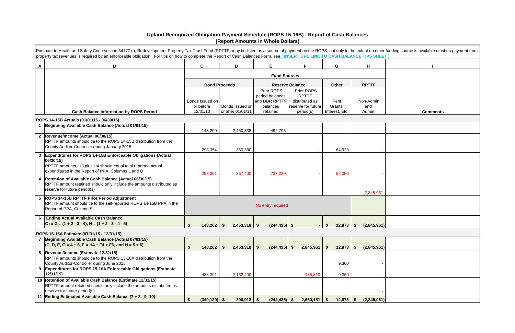|   | Pursuant to Health and Safety Code section 34177 (I), Redevelopment Property Tax Trust Fund (RPTTF) may be listed as a source of payment on the ROPS, but only to the extent no other funding source is available or when paym<br>property tax revenues is required by an enforceable obligation. For tips on how to complete the Report of Cash Balances Form, see [INSERT URL LINK TO CASH BALANCE TIPS SHEET] |                                              |      |                      |                               |                                      |                  |                     |                 |  |  |  |
|---|------------------------------------------------------------------------------------------------------------------------------------------------------------------------------------------------------------------------------------------------------------------------------------------------------------------------------------------------------------------------------------------------------------------|----------------------------------------------|------|----------------------|-------------------------------|--------------------------------------|------------------|---------------------|-----------------|--|--|--|
| A | B                                                                                                                                                                                                                                                                                                                                                                                                                | $\mathbf{C}$                                 |      | D                    | E.                            | F.                                   | G                | H                   |                 |  |  |  |
|   |                                                                                                                                                                                                                                                                                                                                                                                                                  |                                              |      |                      | <b>Fund Sources</b>           |                                      |                  |                     |                 |  |  |  |
|   |                                                                                                                                                                                                                                                                                                                                                                                                                  |                                              |      | <b>Bond Proceeds</b> |                               | <b>Reserve Balance</b>               | Other            | <b>RPTTF</b>        |                 |  |  |  |
|   |                                                                                                                                                                                                                                                                                                                                                                                                                  |                                              |      |                      | Prior ROPS<br>period balances | Prior ROPS<br><b>RPTTF</b>           |                  |                     |                 |  |  |  |
|   |                                                                                                                                                                                                                                                                                                                                                                                                                  | Bonds Issued on<br>or before                 |      | Bonds Issued on      | and DDR RPTTF<br>balances     | distributed as<br>reserve for future | Rent,<br>Grants, | Non-Admin<br>and    |                 |  |  |  |
|   | <b>Cash Balance Information by ROPS Period</b>                                                                                                                                                                                                                                                                                                                                                                   | 12/31/10                                     |      | or after 01/01/11    | retained                      | period(s)                            | Interest, Etc.   | Admin               | <b>Comments</b> |  |  |  |
|   | ROPS 14-15B Actuals (01/01/15 - 06/30/15)                                                                                                                                                                                                                                                                                                                                                                        |                                              |      |                      |                               |                                      |                  |                     |                 |  |  |  |
|   | 1 Beginning Available Cash Balance (Actual 01/01/15)                                                                                                                                                                                                                                                                                                                                                             | 148,299                                      |      | 2,450,338            | 492,795                       |                                      |                  |                     |                 |  |  |  |
|   | 2  Revenue/Income (Actual 06/30/15)<br>RPTTF amounts should tie to the ROPS 14-15B distribution from the<br>County Auditor-Controller during January 2015                                                                                                                                                                                                                                                        | 298,354                                      |      | 360,380              |                               |                                      | 64,923           |                     |                 |  |  |  |
|   | 3 Expenditures for ROPS 14-15B Enforceable Obligations (Actual<br>06/30/15)<br>RPTTF amounts, H3 plus H4 should equal total reported actual                                                                                                                                                                                                                                                                      |                                              |      |                      |                               |                                      |                  |                     |                 |  |  |  |
|   | expenditures in the Report of PPA, Columns L and Q                                                                                                                                                                                                                                                                                                                                                               | 298,391                                      |      | 357,400              | 737,230                       |                                      | 52,050           |                     |                 |  |  |  |
|   | 4 Retention of Available Cash Balance (Actual 06/30/15)<br>RPTTF amount retained should only include the amounts distributed as<br>reserve for future period(s)                                                                                                                                                                                                                                                  |                                              |      |                      |                               |                                      |                  | 2,845,961           |                 |  |  |  |
|   | 5  ROPS 14-15B RPTTF Prior Period Adjustment<br>RPTTF amount should tie to the self-reported ROPS 14-15B PPA in the<br>Report of PPA, Column S                                                                                                                                                                                                                                                                   |                                              |      |                      | No entry required             |                                      |                  |                     |                 |  |  |  |
| 6 | <b>Ending Actual Available Cash Balance</b><br>C to G = $(1 + 2 - 3 - 4)$ , H = $(1 + 2 - 3 - 4 - 5)$                                                                                                                                                                                                                                                                                                            | 148,262                                      | - \$ | $2,453,318$ \$       | $(244, 435)$ \$               |                                      | 12,873<br>S.     | (2,845,961)<br>- \$ |                 |  |  |  |
|   | ROPS 15-16A Estimate (07/01/15 - 12/31/15)                                                                                                                                                                                                                                                                                                                                                                       |                                              |      |                      |                               |                                      |                  |                     |                 |  |  |  |
|   | 7 Beginning Available Cash Balance (Actual 07/01/15)<br>$(C, D, E, G = 4 + 6, F = H4 + F4 + F6, and H = 5 + 6)$                                                                                                                                                                                                                                                                                                  | $148,262$ \$                                 |      | $2,453,318$ \$       | $(244, 435)$ \$               | 2,845,961                            | 12,873<br>S.     | (2,845,961)<br>- \$ |                 |  |  |  |
|   | 8  Revenue/Income (Estimate 12/31/15)<br>RPTTF amounts should tie to the ROPS 15-16A distribution from the<br>County Auditor-Controller during June 2015                                                                                                                                                                                                                                                         |                                              |      |                      |                               |                                      | 9,360            |                     |                 |  |  |  |
|   | 9 Expenditures for ROPS 15-16A Enforceable Obligations (Estimate<br>12/31/15)                                                                                                                                                                                                                                                                                                                                    | 488,391                                      |      | 2,162,400            |                               | 185,810                              | 9,360            |                     |                 |  |  |  |
|   | 10 Retention of Available Cash Balance (Estimate 12/31/15)<br>RPTTF amount retained should only include the amounts distributed as<br>reserve for future period(s)                                                                                                                                                                                                                                               |                                              |      |                      |                               |                                      |                  |                     |                 |  |  |  |
|   | 11 Ending Estimated Available Cash Balance (7 + 8 - 9 -10)                                                                                                                                                                                                                                                                                                                                                       | $(340, 129)$ \$<br>$\boldsymbol{\mathsf{s}}$ |      | $290,918$ \$         | $(244, 435)$ \$               | $2,660,151$ \$                       | $12,873$ \$      | (2,845,961)         |                 |  |  |  |

## **Upland Recognized Obligation Payment Schedule (ROPS 15-16B) - Report of Cash Balances (Report Amounts in Whole Dollars)**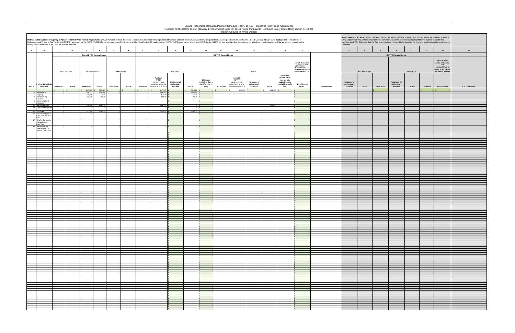|                                                                                                                                                                                                                                                                                                                                                                                                                                                                                                                               | Upland Recognized Obligation Payment Schedule (ROPS 15-16B) - Report of Prior Period Adjustments<br>Reported for the ROPS 14-15B (January 1, 2015 through June 30, 2015) Period Pursuant to Health and Safety Code (HSC) section 34186 (a)<br>(Report Amounts in Whole Dollars) |                              |                                                             |                    |        |            |                                                                                                  |                                            |                             |                                                                          |                                                                                                                |                                            |                                                                                                                                                                                                                                                                                                                                                                                     |                                                                                                           |                                                                                                       |                    |                                            |                      |                                            |                  |              |                                                                                                                          |                     |
|-------------------------------------------------------------------------------------------------------------------------------------------------------------------------------------------------------------------------------------------------------------------------------------------------------------------------------------------------------------------------------------------------------------------------------------------------------------------------------------------------------------------------------|---------------------------------------------------------------------------------------------------------------------------------------------------------------------------------------------------------------------------------------------------------------------------------|------------------------------|-------------------------------------------------------------|--------------------|--------|------------|--------------------------------------------------------------------------------------------------|--------------------------------------------|-----------------------------|--------------------------------------------------------------------------|----------------------------------------------------------------------------------------------------------------|--------------------------------------------|-------------------------------------------------------------------------------------------------------------------------------------------------------------------------------------------------------------------------------------------------------------------------------------------------------------------------------------------------------------------------------------|-----------------------------------------------------------------------------------------------------------|-------------------------------------------------------------------------------------------------------|--------------------|--------------------------------------------|----------------------|--------------------------------------------|------------------|--------------|--------------------------------------------------------------------------------------------------------------------------|---------------------|
| ROPS 14-15B Successor Agency (SA) Self-reported Prior Period Adjustments (PPA): Pursuant to HSC Section 34186 (a), SAs are required to report the differences between their actual available funding and their actual expendit<br>Redevelopment Property Tax Trust Fund (RPTTF) approved for the ROPS 15-16B (January through June 2016) period will be offset by the SA's self-reported ROPS 14-15B prior period adjustment. HSC Section 34186 (a) also specifi<br>county auditor-controller (CAC) and the State Controller. |                                                                                                                                                                                                                                                                                 |                              |                                                             |                    |        |            |                                                                                                  |                                            |                             |                                                                          |                                                                                                                |                                            | ROPS 14-15B CAC PPA: To be completed by the CAC upon submittal of the ROPS 15-16B by the SA to Finance and the<br>CAC. Note that CACs will need to enter their own formulas at the line item level pursuant to the manner in which they<br>calculate the PPA. Also note that the Admin amounts do not need to be listed at the line item level and may be entered as a<br>lump sum. |                                                                                                           |                                                                                                       |                    |                                            |                      |                                            |                  |              |                                                                                                                          |                     |
| A<br><b>B</b>                                                                                                                                                                                                                                                                                                                                                                                                                                                                                                                 |                                                                                                                                                                                                                                                                                 | $\mathbf{c}$<br>$\mathbf{D}$ | E<br>-F                                                     | G                  | H      |            |                                                                                                  | K                                          |                             | <b>M</b>                                                                 | $\circ$                                                                                                        |                                            | $\alpha$                                                                                                                                                                                                                                                                                                                                                                            | $\mathbb{R}$                                                                                              | <b>S</b>                                                                                              | T                  | $\cup$                                     | $\mathbf v$<br>W     | $\mathbf{x}$                               |                  | $\mathbf{z}$ | AA                                                                                                                       | AB                  |
|                                                                                                                                                                                                                                                                                                                                                                                                                                                                                                                               |                                                                                                                                                                                                                                                                                 |                              | <b>Non-RPTTF Expenditures</b>                               |                    |        |            |                                                                                                  |                                            |                             |                                                                          | <b>RPTTF Expenditures</b>                                                                                      |                                            |                                                                                                                                                                                                                                                                                                                                                                                     |                                                                                                           |                                                                                                       |                    |                                            |                      | <b>RPTTF Expenditures</b>                  |                  |              |                                                                                                                          |                     |
|                                                                                                                                                                                                                                                                                                                                                                                                                                                                                                                               |                                                                                                                                                                                                                                                                                 | <b>Bond Proceeds</b>         | <b>Reserve Balance</b>                                      | <b>Other Funds</b> |        |            |                                                                                                  | Non-Admin                                  |                             |                                                                          |                                                                                                                | Admin                                      |                                                                                                                                                                                                                                                                                                                                                                                     |                                                                                                           | Net SA Non-Admir<br>and Admin PPA<br>(Amount Used to<br>Offset ROPS 15-16B<br><b>Requested RPTTF)</b> |                    |                                            | <b>Non-Admin CAC</b> |                                            | <b>Admin CAC</b> |              | Net CAC Non-<br><b>Admin and Admin</b><br><b>PPA</b><br>(Amount Used to<br>Offset ROPS 15-16B<br><b>Requested RPTTF)</b> |                     |
| Proiect Name / Det<br>Item # Obligation                                                                                                                                                                                                                                                                                                                                                                                                                                                                                       |                                                                                                                                                                                                                                                                                 | Authorized<br>Actual         | Authorized<br>Actual                                        | Authorized         | Actual | Authorized | Available<br><b>RPTTF</b><br>(ROPS 14-15B<br>distributed + all other<br>available as of 01/1/15) | Net Lesser of<br>Authorized /<br>Available | Actual                      | <b>Difference</b><br>(If K is less than L,<br>the difference is<br>zero) | Available<br><b>RPTTF</b><br>(ROPS 14-15B<br>distributed + all other<br>Authorized<br>available as of 01/1/15) | Net Lesser of<br>Authorized /<br>Available | Actual                                                                                                                                                                                                                                                                                                                                                                              | <b>Difference</b><br>(If total actual<br>exceeds total<br>authorized, the<br>total difference is<br>zero) | <b>Net Difference</b><br>$(M+R)$                                                                      | <b>SA Comments</b> | Net Lesser of<br>Authorized /<br>Available | Difference<br>Actual | Net Lesser of<br>Authorized /<br>Available | Actual           | Difference   | <b>Net Difference</b>                                                                                                    | <b>CAC Comments</b> |
| 2 Refunding of                                                                                                                                                                                                                                                                                                                                                                                                                                                                                                                |                                                                                                                                                                                                                                                                                 |                              | 786,280<br>840,291<br>298,391<br>298,391<br>45,000<br>5,856 |                    |        |            | 840,291<br>298,391<br>45,000                                                                     |                                            | 661,280<br>298,391<br>5,856 |                                                                          | 125,000                                                                                                        |                                            | 125,000                                                                                                                                                                                                                                                                                                                                                                             |                                                                                                           |                                                                                                       |                    |                                            |                      |                                            |                  |              |                                                                                                                          |                     |
| 5 Property<br>8 Bond Banking<br>Services<br>9 Continuing Bond                                                                                                                                                                                                                                                                                                                                                                                                                                                                 |                                                                                                                                                                                                                                                                                 |                              | 14,500<br>2,633                                             |                    |        |            | $14,500$ \$                                                                                      |                                            | $2,633$ \$                  |                                                                          |                                                                                                                |                                            |                                                                                                                                                                                                                                                                                                                                                                                     |                                                                                                           |                                                                                                       |                    |                                            |                      |                                            |                  |              |                                                                                                                          |                     |
| Disclosure<br>10 Salaries/Benefits<br>14 City Loan Agreem                                                                                                                                                                                                                                                                                                                                                                                                                                                                     |                                                                                                                                                                                                                                                                                 |                              | 125,000<br>125,000                                          |                    |        |            | 125,000                                                                                          |                                            |                             |                                                                          |                                                                                                                |                                            | 125,000                                                                                                                                                                                                                                                                                                                                                                             |                                                                                                           |                                                                                                       |                    |                                            |                      |                                            |                  |              |                                                                                                                          |                     |
| 15 2013 TAB<br>16 Successor Agency                                                                                                                                                                                                                                                                                                                                                                                                                                                                                            |                                                                                                                                                                                                                                                                                 |                              | 357,400<br>354,400                                          |                    |        |            | 357,400                                                                                          |                                            | 354,400 \$                  |                                                                          |                                                                                                                |                                            |                                                                                                                                                                                                                                                                                                                                                                                     |                                                                                                           |                                                                                                       |                    |                                            |                      |                                            |                  |              |                                                                                                                          |                     |
| <b>Bond Debt Reserve</b><br>Fund<br>17 Chaffey Community                                                                                                                                                                                                                                                                                                                                                                                                                                                                      |                                                                                                                                                                                                                                                                                 |                              |                                                             |                    |        |            | IS.                                                                                              |                                            | ·IS-                        |                                                                          |                                                                                                                |                                            |                                                                                                                                                                                                                                                                                                                                                                                     |                                                                                                           |                                                                                                       |                    |                                            |                      |                                            |                  |              |                                                                                                                          |                     |
| College District -<br>Pass Thru<br>18 San Bernardino                                                                                                                                                                                                                                                                                                                                                                                                                                                                          |                                                                                                                                                                                                                                                                                 |                              |                                                             |                    |        |            |                                                                                                  |                                            | IS.                         |                                                                          |                                                                                                                |                                            |                                                                                                                                                                                                                                                                                                                                                                                     |                                                                                                           |                                                                                                       |                    |                                            |                      |                                            |                  |              |                                                                                                                          |                     |
| Superintendent of<br>Schools - Pass Thr                                                                                                                                                                                                                                                                                                                                                                                                                                                                                       |                                                                                                                                                                                                                                                                                 |                              |                                                             |                    |        |            |                                                                                                  |                                            |                             |                                                                          |                                                                                                                |                                            |                                                                                                                                                                                                                                                                                                                                                                                     |                                                                                                           |                                                                                                       |                    |                                            |                      |                                            |                  |              |                                                                                                                          |                     |
|                                                                                                                                                                                                                                                                                                                                                                                                                                                                                                                               |                                                                                                                                                                                                                                                                                 |                              |                                                             |                    |        |            |                                                                                                  |                                            |                             |                                                                          |                                                                                                                |                                            |                                                                                                                                                                                                                                                                                                                                                                                     |                                                                                                           |                                                                                                       |                    |                                            |                      |                                            |                  |              |                                                                                                                          |                     |
|                                                                                                                                                                                                                                                                                                                                                                                                                                                                                                                               |                                                                                                                                                                                                                                                                                 |                              |                                                             |                    |        |            |                                                                                                  |                                            |                             |                                                                          |                                                                                                                |                                            |                                                                                                                                                                                                                                                                                                                                                                                     |                                                                                                           |                                                                                                       |                    |                                            |                      |                                            |                  |              |                                                                                                                          |                     |
|                                                                                                                                                                                                                                                                                                                                                                                                                                                                                                                               |                                                                                                                                                                                                                                                                                 |                              |                                                             |                    |        |            |                                                                                                  |                                            |                             |                                                                          |                                                                                                                |                                            |                                                                                                                                                                                                                                                                                                                                                                                     |                                                                                                           |                                                                                                       |                    |                                            |                      |                                            |                  |              |                                                                                                                          |                     |
|                                                                                                                                                                                                                                                                                                                                                                                                                                                                                                                               |                                                                                                                                                                                                                                                                                 |                              |                                                             |                    |        |            |                                                                                                  |                                            |                             |                                                                          |                                                                                                                |                                            |                                                                                                                                                                                                                                                                                                                                                                                     |                                                                                                           |                                                                                                       |                    |                                            |                      |                                            |                  |              |                                                                                                                          |                     |
|                                                                                                                                                                                                                                                                                                                                                                                                                                                                                                                               |                                                                                                                                                                                                                                                                                 |                              |                                                             |                    |        |            |                                                                                                  |                                            |                             |                                                                          |                                                                                                                |                                            |                                                                                                                                                                                                                                                                                                                                                                                     |                                                                                                           |                                                                                                       |                    |                                            |                      |                                            |                  |              |                                                                                                                          |                     |
|                                                                                                                                                                                                                                                                                                                                                                                                                                                                                                                               |                                                                                                                                                                                                                                                                                 |                              |                                                             |                    |        |            |                                                                                                  |                                            |                             |                                                                          |                                                                                                                |                                            |                                                                                                                                                                                                                                                                                                                                                                                     |                                                                                                           |                                                                                                       |                    |                                            |                      |                                            |                  |              |                                                                                                                          |                     |
|                                                                                                                                                                                                                                                                                                                                                                                                                                                                                                                               |                                                                                                                                                                                                                                                                                 |                              |                                                             |                    |        |            |                                                                                                  |                                            |                             |                                                                          |                                                                                                                |                                            |                                                                                                                                                                                                                                                                                                                                                                                     |                                                                                                           |                                                                                                       |                    |                                            |                      |                                            |                  |              |                                                                                                                          |                     |
|                                                                                                                                                                                                                                                                                                                                                                                                                                                                                                                               |                                                                                                                                                                                                                                                                                 |                              |                                                             |                    |        |            |                                                                                                  |                                            |                             |                                                                          |                                                                                                                |                                            |                                                                                                                                                                                                                                                                                                                                                                                     |                                                                                                           |                                                                                                       |                    |                                            |                      |                                            |                  |              |                                                                                                                          |                     |
|                                                                                                                                                                                                                                                                                                                                                                                                                                                                                                                               |                                                                                                                                                                                                                                                                                 |                              |                                                             |                    |        |            |                                                                                                  |                                            |                             |                                                                          |                                                                                                                |                                            |                                                                                                                                                                                                                                                                                                                                                                                     |                                                                                                           |                                                                                                       |                    |                                            |                      |                                            |                  |              |                                                                                                                          |                     |
|                                                                                                                                                                                                                                                                                                                                                                                                                                                                                                                               |                                                                                                                                                                                                                                                                                 |                              |                                                             |                    |        |            |                                                                                                  |                                            |                             |                                                                          |                                                                                                                |                                            |                                                                                                                                                                                                                                                                                                                                                                                     |                                                                                                           |                                                                                                       |                    |                                            |                      |                                            |                  |              |                                                                                                                          |                     |
|                                                                                                                                                                                                                                                                                                                                                                                                                                                                                                                               |                                                                                                                                                                                                                                                                                 |                              |                                                             |                    |        |            |                                                                                                  |                                            |                             |                                                                          |                                                                                                                |                                            |                                                                                                                                                                                                                                                                                                                                                                                     |                                                                                                           |                                                                                                       |                    |                                            |                      |                                            |                  |              |                                                                                                                          |                     |
|                                                                                                                                                                                                                                                                                                                                                                                                                                                                                                                               |                                                                                                                                                                                                                                                                                 |                              |                                                             |                    |        |            |                                                                                                  |                                            |                             |                                                                          |                                                                                                                |                                            |                                                                                                                                                                                                                                                                                                                                                                                     |                                                                                                           |                                                                                                       |                    |                                            |                      |                                            |                  |              |                                                                                                                          |                     |
|                                                                                                                                                                                                                                                                                                                                                                                                                                                                                                                               |                                                                                                                                                                                                                                                                                 |                              |                                                             |                    |        |            |                                                                                                  |                                            |                             |                                                                          |                                                                                                                |                                            |                                                                                                                                                                                                                                                                                                                                                                                     |                                                                                                           |                                                                                                       |                    |                                            |                      |                                            |                  |              |                                                                                                                          |                     |
|                                                                                                                                                                                                                                                                                                                                                                                                                                                                                                                               |                                                                                                                                                                                                                                                                                 |                              |                                                             |                    |        |            |                                                                                                  |                                            |                             |                                                                          |                                                                                                                |                                            |                                                                                                                                                                                                                                                                                                                                                                                     |                                                                                                           |                                                                                                       |                    |                                            |                      |                                            |                  |              |                                                                                                                          |                     |
|                                                                                                                                                                                                                                                                                                                                                                                                                                                                                                                               |                                                                                                                                                                                                                                                                                 |                              |                                                             |                    |        |            |                                                                                                  |                                            |                             |                                                                          |                                                                                                                |                                            |                                                                                                                                                                                                                                                                                                                                                                                     |                                                                                                           |                                                                                                       |                    |                                            |                      |                                            |                  |              |                                                                                                                          |                     |
|                                                                                                                                                                                                                                                                                                                                                                                                                                                                                                                               |                                                                                                                                                                                                                                                                                 |                              |                                                             |                    |        |            |                                                                                                  |                                            |                             |                                                                          |                                                                                                                |                                            |                                                                                                                                                                                                                                                                                                                                                                                     |                                                                                                           |                                                                                                       |                    |                                            |                      |                                            |                  |              |                                                                                                                          |                     |
|                                                                                                                                                                                                                                                                                                                                                                                                                                                                                                                               |                                                                                                                                                                                                                                                                                 |                              |                                                             |                    |        |            |                                                                                                  |                                            |                             |                                                                          |                                                                                                                |                                            |                                                                                                                                                                                                                                                                                                                                                                                     |                                                                                                           |                                                                                                       |                    |                                            |                      |                                            |                  |              |                                                                                                                          |                     |
|                                                                                                                                                                                                                                                                                                                                                                                                                                                                                                                               |                                                                                                                                                                                                                                                                                 |                              |                                                             |                    |        |            |                                                                                                  |                                            |                             |                                                                          |                                                                                                                |                                            |                                                                                                                                                                                                                                                                                                                                                                                     |                                                                                                           |                                                                                                       |                    |                                            |                      |                                            |                  |              |                                                                                                                          |                     |
|                                                                                                                                                                                                                                                                                                                                                                                                                                                                                                                               |                                                                                                                                                                                                                                                                                 |                              |                                                             |                    |        |            |                                                                                                  |                                            |                             |                                                                          |                                                                                                                |                                            |                                                                                                                                                                                                                                                                                                                                                                                     |                                                                                                           |                                                                                                       |                    |                                            |                      |                                            |                  |              |                                                                                                                          |                     |
|                                                                                                                                                                                                                                                                                                                                                                                                                                                                                                                               |                                                                                                                                                                                                                                                                                 |                              |                                                             |                    |        |            |                                                                                                  |                                            |                             |                                                                          |                                                                                                                |                                            |                                                                                                                                                                                                                                                                                                                                                                                     |                                                                                                           |                                                                                                       |                    |                                            |                      |                                            |                  |              |                                                                                                                          |                     |
|                                                                                                                                                                                                                                                                                                                                                                                                                                                                                                                               |                                                                                                                                                                                                                                                                                 |                              |                                                             |                    |        |            |                                                                                                  |                                            |                             |                                                                          |                                                                                                                |                                            |                                                                                                                                                                                                                                                                                                                                                                                     |                                                                                                           |                                                                                                       |                    |                                            |                      |                                            |                  |              |                                                                                                                          |                     |
|                                                                                                                                                                                                                                                                                                                                                                                                                                                                                                                               |                                                                                                                                                                                                                                                                                 |                              |                                                             |                    |        |            |                                                                                                  |                                            |                             |                                                                          |                                                                                                                |                                            |                                                                                                                                                                                                                                                                                                                                                                                     |                                                                                                           |                                                                                                       |                    |                                            |                      |                                            |                  |              |                                                                                                                          |                     |
|                                                                                                                                                                                                                                                                                                                                                                                                                                                                                                                               |                                                                                                                                                                                                                                                                                 |                              |                                                             |                    |        |            |                                                                                                  |                                            |                             |                                                                          |                                                                                                                |                                            |                                                                                                                                                                                                                                                                                                                                                                                     |                                                                                                           |                                                                                                       |                    |                                            |                      |                                            |                  |              |                                                                                                                          |                     |
|                                                                                                                                                                                                                                                                                                                                                                                                                                                                                                                               |                                                                                                                                                                                                                                                                                 |                              |                                                             |                    |        |            |                                                                                                  |                                            |                             |                                                                          |                                                                                                                |                                            |                                                                                                                                                                                                                                                                                                                                                                                     |                                                                                                           |                                                                                                       |                    |                                            |                      |                                            |                  |              |                                                                                                                          |                     |
|                                                                                                                                                                                                                                                                                                                                                                                                                                                                                                                               |                                                                                                                                                                                                                                                                                 |                              |                                                             |                    |        |            |                                                                                                  |                                            |                             |                                                                          |                                                                                                                |                                            |                                                                                                                                                                                                                                                                                                                                                                                     |                                                                                                           |                                                                                                       |                    |                                            |                      |                                            |                  |              |                                                                                                                          |                     |
|                                                                                                                                                                                                                                                                                                                                                                                                                                                                                                                               |                                                                                                                                                                                                                                                                                 |                              |                                                             |                    |        |            |                                                                                                  |                                            |                             |                                                                          |                                                                                                                |                                            |                                                                                                                                                                                                                                                                                                                                                                                     |                                                                                                           |                                                                                                       |                    |                                            |                      |                                            |                  |              |                                                                                                                          |                     |
|                                                                                                                                                                                                                                                                                                                                                                                                                                                                                                                               |                                                                                                                                                                                                                                                                                 |                              |                                                             |                    |        |            |                                                                                                  |                                            |                             |                                                                          |                                                                                                                |                                            |                                                                                                                                                                                                                                                                                                                                                                                     |                                                                                                           |                                                                                                       |                    |                                            |                      |                                            |                  |              |                                                                                                                          |                     |
|                                                                                                                                                                                                                                                                                                                                                                                                                                                                                                                               |                                                                                                                                                                                                                                                                                 |                              |                                                             |                    |        |            |                                                                                                  |                                            |                             |                                                                          |                                                                                                                |                                            |                                                                                                                                                                                                                                                                                                                                                                                     |                                                                                                           |                                                                                                       |                    |                                            |                      |                                            |                  |              |                                                                                                                          |                     |